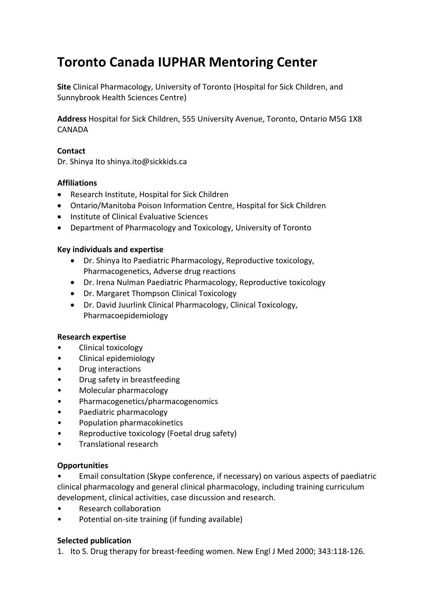# **Toronto Canada IUPHAR Mentoring Center**

**Site** Clinical Pharmacology, University of Toronto (Hospital for Sick Children, and Sunnybrook Health Sciences Centre)

**Address** Hospital for Sick Children, 555 University Avenue, Toronto, Ontario M5G 1X8 CANADA

## **Contact**

Dr. Shinya Ito shinya.ito@sickkids.ca

## **Affiliations**

- Research Institute, Hospital for Sick Children
- Ontario/Manitoba Poison Information Centre, Hospital for Sick Children
- Institute of Clinical Evaluative Sciences
- Department of Pharmacology and Toxicology, University of Toronto

## **Key individuals and expertise**

- Dr. Shinya Ito Paediatric Pharmacology, Reproductive toxicology, Pharmacogenetics, Adverse drug reactions
- Dr. Irena Nulman Paediatric Pharmacology, Reproductive toxicology
- Dr. Margaret Thompson Clinical Toxicology
- Dr. David Juurlink Clinical Pharmacology, Clinical Toxicology, Pharmacoepidemiology

### **Research expertise**

- Clinical toxicology
- Clinical epidemiology
- Drug interactions
- Drug safety in breastfeeding
- Molecular pharmacology
- Pharmacogenetics/pharmacogenomics
- Paediatric pharmacology
- Population pharmacokinetics
- Reproductive toxicology (Foetal drug safety)
- Translational research

### **Opportunities**

- Email consultation (Skype conference, if necessary) on various aspects of paediatric clinical pharmacology and general clinical pharmacology, including training curriculum development, clinical activities, case discussion and research.
- Research collaboration
- Potential on‐site training (if funding available)

### **Selected publication**

1. Ito S. Drug therapy for breast‐feeding women. New Engl J Med 2000; 343:118‐126.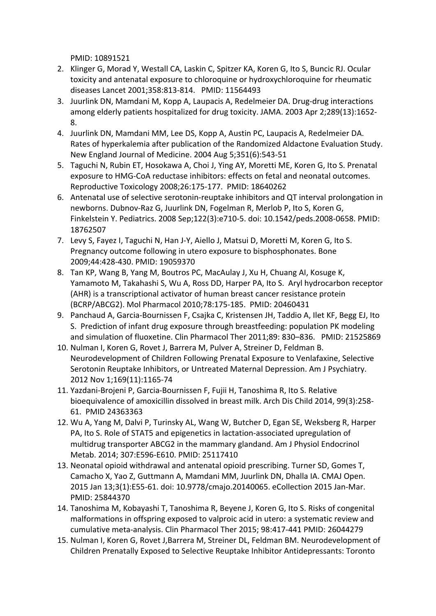PMID: 10891521

- 2. Klinger G, Morad Y, Westall CA, Laskin C, Spitzer KA, Koren G, Ito S, Buncic RJ. Ocular toxicity and antenatal exposure to chloroquine or hydroxychloroquine for rheumatic diseases Lancet 2001;358:813‐814. PMID: 11564493
- 3. Juurlink DN, Mamdani M, Kopp A, Laupacis A, Redelmeier DA. Drug‐drug interactions among elderly patients hospitalized for drug toxicity. JAMA. 2003 Apr 2;289(13):1652‐ 8.
- 4. Juurlink DN, Mamdani MM, Lee DS, Kopp A, Austin PC, Laupacis A, Redelmeier DA. Rates of hyperkalemia after publication of the Randomized Aldactone Evaluation Study. New England Journal of Medicine. 2004 Aug 5;351(6):543‐51
- 5. Taguchi N, Rubin ET, Hosokawa A, Choi J, Ying AY, Moretti ME, Koren G, Ito S. Prenatal exposure to HMG‐CoA reductase inhibitors: effects on fetal and neonatal outcomes. Reproductive Toxicology 2008;26:175‐177. PMID: 18640262
- 6. Antenatal use of selective serotonin‐reuptake inhibitors and QT interval prolongation in newborns. Dubnov‐Raz G, Juurlink DN, Fogelman R, Merlob P, Ito S, Koren G, Finkelstein Y. Pediatrics. 2008 Sep;122(3):e710‐5. doi: 10.1542/peds.2008‐0658. PMID: 18762507
- 7. Levy S, Fayez I, Taguchi N, Han J‐Y, Aiello J, Matsui D, Moretti M, Koren G, Ito S. Pregnancy outcome following in utero exposure to bisphosphonates. Bone 2009;44:428‐430. PMID: 19059370
- 8. Tan KP, Wang B, Yang M, Boutros PC, MacAulay J, Xu H, Chuang AI, Kosuge K, Yamamoto M, Takahashi S, Wu A, Ross DD, Harper PA, Ito S. Aryl hydrocarbon receptor (AHR) is a transcriptional activator of human breast cancer resistance protein (BCRP/ABCG2). Mol Pharmacol 2010;78:175‐185. PMID: 20460431
- 9. Panchaud A, Garcia-Bournissen F, Csajka C, Kristensen JH, Taddio A, Ilet KF, Begg EJ, Ito S. Prediction of infant drug exposure through breastfeeding: population PK modeling and simulation of fluoxetine. Clin Pharmacol Ther 2011;89: 830–836. PMID: 21525869
- 10. Nulman I, Koren G, Rovet J, Barrera M, Pulver A, Streiner D, Feldman B. Neurodevelopment of Children Following Prenatal Exposure to Venlafaxine, Selective Serotonin Reuptake Inhibitors, or Untreated Maternal Depression. Am J Psychiatry. 2012 Nov 1;169(11):1165‐74
- 11. Yazdani‐Brojeni P, Garcia‐Bournissen F, Fujii H, Tanoshima R, Ito S. Relative bioequivalence of amoxicillin dissolved in breast milk. Arch Dis Child 2014, 99(3):258‐ 61. PMID 24363363
- 12. Wu A, Yang M, Dalvi P, Turinsky AL, Wang W, Butcher D, Egan SE, Weksberg R, Harper PA, Ito S. Role of STAT5 and epigenetics in lactation‐associated upregulation of multidrug transporter ABCG2 in the mammary glandand. Am J Physiol Endocrinol Metab. 2014; 307:E596‐E610. PMID: 25117410
- 13. Neonatal opioid withdrawal and antenatal opioid prescribing. Turner SD, Gomes T, Camacho X, Yao Z, Guttmann A, Mamdani MM, Juurlink DN, Dhalla IA. CMAJ Open. 2015 Jan 13;3(1):E55‐61. doi: 10.9778/cmajo.20140065. eCollection 2015 Jan‐Mar. PMID: 25844370
- 14. Tanoshima M, Kobayashi T, Tanoshima R, Beyene J, Koren G, Ito S. Risks of congenital malformations in offspring exposed to valproic acid in utero: a systematic review and cumulative meta‐analysis. Clin Pharmacol Ther 2015; 98:417‐441 PMID: 26044279
- 15. Nulman I, Koren G, Rovet J,Barrera M, Streiner DL, Feldman BM. Neurodevelopment of Children Prenatally Exposed to Selective Reuptake Inhibitor Antidepressants: Toronto